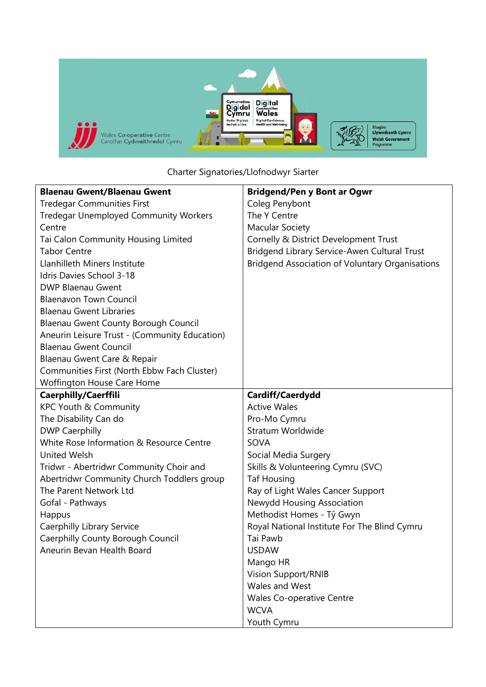

Charter Signatories/Llofnodwyr Siarter

| <b>Blaenau Gwent/Blaenau Gwent</b>            | <b>Bridgend/Pen y Bont ar Ogwr</b>                     |
|-----------------------------------------------|--------------------------------------------------------|
| <b>Tredegar Communities First</b>             | Coleg Penybont                                         |
| <b>Tredegar Unemployed Community Workers</b>  | The Y Centre                                           |
| Centre                                        | <b>Macular Society</b>                                 |
| Tai Calon Community Housing Limited           | Cornelly & District Development Trust                  |
| <b>Tabor Centre</b>                           | Bridgend Library Service-Awen Cultural Trust           |
| Llanhilleth Miners Institute                  | <b>Bridgend Association of Voluntary Organisations</b> |
| Idris Davies School 3-18                      |                                                        |
| <b>DWP Blaenau Gwent</b>                      |                                                        |
| <b>Blaenavon Town Council</b>                 |                                                        |
| <b>Blaenau Gwent Libraries</b>                |                                                        |
| Blaenau Gwent County Borough Council          |                                                        |
| Aneurin Leisure Trust - (Community Education) |                                                        |
| <b>Blaenau Gwent Council</b>                  |                                                        |
| Blaenau Gwent Care & Repair                   |                                                        |
| Communities First (North Ebbw Fach Cluster)   |                                                        |
| Woffington House Care Home                    |                                                        |
| Caerphilly/Caerffili                          | Cardiff/Caerdydd                                       |
| KPC Youth & Community                         | <b>Active Wales</b>                                    |
| The Disability Can do                         | Pro-Mo Cymru                                           |
| <b>DWP Caerphilly</b>                         | <b>Stratum Worldwide</b>                               |
| White Rose Information & Resource Centre      | SOVA                                                   |
| <b>United Welsh</b>                           | Social Media Surgery                                   |
| Tridwr - Abertridwr Community Choir and       | Skills & Volunteering Cymru (SVC)                      |
| Abertridwr Community Church Toddlers group    | <b>Taf Housing</b>                                     |
| The Parent Network Ltd                        | Ray of Light Wales Cancer Support                      |
| Gofal - Pathways                              | Newydd Housing Association                             |
| Happus                                        | Methodist Homes - Tŷ Gwyn                              |
| Caerphilly Library Service                    | Royal National Institute For The Blind Cymru           |
| Caerphilly County Borough Council             | Tai Pawb                                               |
| Aneurin Bevan Health Board                    | <b>USDAW</b>                                           |
|                                               | Mango HR                                               |
|                                               | <b>Vision Support/RNIB</b>                             |
|                                               | Wales and West                                         |
|                                               | <b>Wales Co-operative Centre</b>                       |
|                                               | <b>WCVA</b>                                            |
|                                               | Youth Cymru                                            |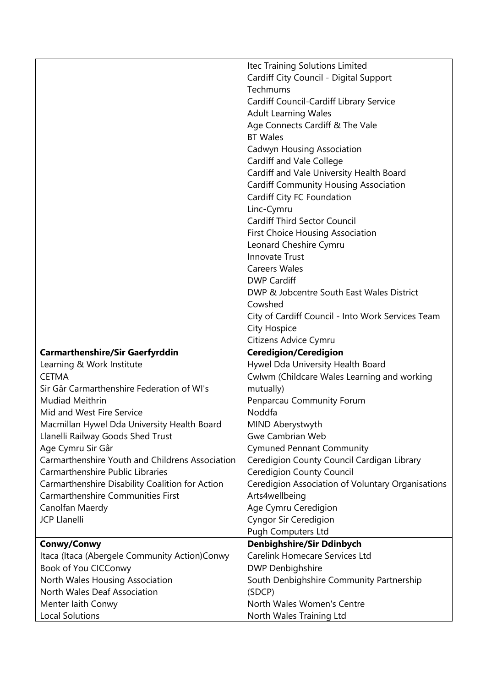|                                                 | Itec Training Solutions Limited                   |
|-------------------------------------------------|---------------------------------------------------|
|                                                 | Cardiff City Council - Digital Support            |
|                                                 | Techmums                                          |
|                                                 | Cardiff Council-Cardiff Library Service           |
|                                                 | <b>Adult Learning Wales</b>                       |
|                                                 | Age Connects Cardiff & The Vale                   |
|                                                 | <b>BT Wales</b>                                   |
|                                                 | Cadwyn Housing Association                        |
|                                                 | <b>Cardiff and Vale College</b>                   |
|                                                 | Cardiff and Vale University Health Board          |
|                                                 | <b>Cardiff Community Housing Association</b>      |
|                                                 | Cardiff City FC Foundation                        |
|                                                 | Linc-Cymru                                        |
|                                                 | Cardiff Third Sector Council                      |
|                                                 | <b>First Choice Housing Association</b>           |
|                                                 | Leonard Cheshire Cymru                            |
|                                                 | <b>Innovate Trust</b>                             |
|                                                 | <b>Careers Wales</b>                              |
|                                                 | <b>DWP Cardiff</b>                                |
|                                                 | DWP & Jobcentre South East Wales District         |
|                                                 |                                                   |
|                                                 | Cowshed                                           |
|                                                 | City of Cardiff Council - Into Work Services Team |
|                                                 | City Hospice                                      |
|                                                 | Citizens Advice Cymru                             |
| <b>Carmarthenshire/Sir Gaerfyrddin</b>          | <b>Ceredigion/Ceredigion</b>                      |
| Learning & Work Institute                       | Hywel Dda University Health Board                 |
| <b>CETMA</b>                                    | Cwlwm (Childcare Wales Learning and working       |
| Sir Gâr Carmarthenshire Federation of WI's      | mutually)                                         |
| Mudiad Meithrin                                 | Penparcau Community Forum                         |
| Mid and West Fire Service                       | Noddfa                                            |
| Macmillan Hywel Dda University Health Board     | MIND Aberystwyth                                  |
| Llanelli Railway Goods Shed Trust               | <b>Gwe Cambrian Web</b>                           |
| Age Cymru Sir Gâr                               | <b>Cymuned Pennant Community</b>                  |
| Carmarthenshire Youth and Childrens Association | Ceredigion County Council Cardigan Library        |
| Carmarthenshire Public Libraries                | <b>Ceredigion County Council</b>                  |
| Carmarthenshire Disability Coalition for Action | Ceredigion Association of Voluntary Organisations |
| <b>Carmarthenshire Communities First</b>        | Arts4wellbeing                                    |
| Canolfan Maerdy                                 | Age Cymru Ceredigion                              |
| <b>JCP Llanelli</b>                             | <b>Cyngor Sir Ceredigion</b>                      |
|                                                 | <b>Pugh Computers Ltd</b>                         |
| Conwy/Conwy                                     | Denbighshire/Sir Ddinbych                         |
| Itaca (Itaca (Abergele Community Action)Conwy   | <b>Carelink Homecare Services Ltd</b>             |
| Book of You CICConwy                            | <b>DWP Denbighshire</b>                           |
| North Wales Housing Association                 | South Denbighshire Community Partnership          |
| North Wales Deaf Association                    | (SDCP)                                            |
| Menter laith Conwy                              | North Wales Women's Centre                        |
| <b>Local Solutions</b>                          | North Wales Training Ltd                          |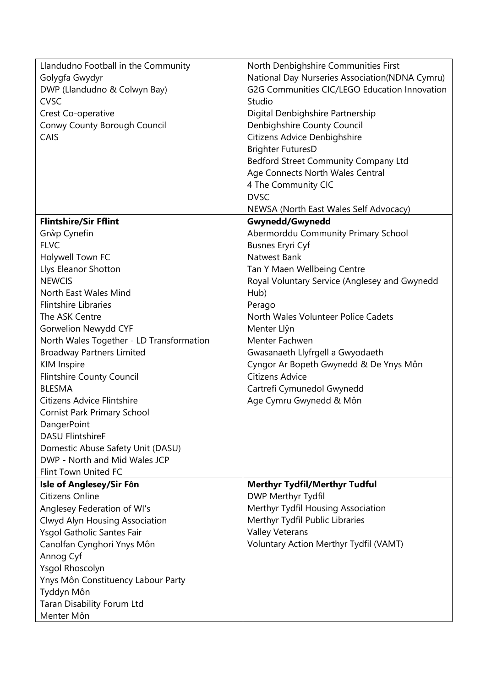| Llandudno Football in the Community      | North Denbighshire Communities First           |
|------------------------------------------|------------------------------------------------|
| Golygfa Gwydyr                           | National Day Nurseries Association(NDNA Cymru) |
| DWP (Llandudno & Colwyn Bay)             | G2G Communities CIC/LEGO Education Innovation  |
| <b>CVSC</b>                              | Studio                                         |
| Crest Co-operative                       | Digital Denbighshire Partnership               |
| Conwy County Borough Council             | Denbighshire County Council                    |
| CAIS                                     | Citizens Advice Denbighshire                   |
|                                          | <b>Brighter FuturesD</b>                       |
|                                          | Bedford Street Community Company Ltd           |
|                                          | Age Connects North Wales Central               |
|                                          | 4 The Community CIC                            |
|                                          | <b>DVSC</b>                                    |
|                                          | NEWSA (North East Wales Self Advocacy)         |
| <b>Flintshire/Sir Fflint</b>             | Gwynedd/Gwynedd                                |
| Grŵp Cynefin                             | Abermorddu Community Primary School            |
| <b>FLVC</b>                              | <b>Busnes Eryri Cyf</b>                        |
| Holywell Town FC                         | Natwest Bank                                   |
| Llys Eleanor Shotton                     | Tan Y Maen Wellbeing Centre                    |
| <b>NEWCIS</b>                            | Royal Voluntary Service (Anglesey and Gwynedd  |
| North East Wales Mind                    | Hub)                                           |
| <b>Flintshire Libraries</b>              | Perago                                         |
| The ASK Centre                           | North Wales Volunteer Police Cadets            |
| Gorwelion Newydd CYF                     | Menter Llŷn                                    |
| North Wales Together - LD Transformation | Menter Fachwen                                 |
| <b>Broadway Partners Limited</b>         | Gwasanaeth Llyfrgell a Gwyodaeth               |
| <b>KIM Inspire</b>                       | Cyngor Ar Bopeth Gwynedd & De Ynys Môn         |
| <b>Flintshire County Council</b>         | Citizens Advice                                |
| <b>BLESMA</b>                            | Cartrefi Cymunedol Gwynedd                     |
| Citizens Advice Flintshire               | Age Cymru Gwynedd & Môn                        |
| <b>Cornist Park Primary School</b>       |                                                |
| DangerPoint                              |                                                |
| <b>DASU FlintshireF</b>                  |                                                |
| Domestic Abuse Safety Unit (DASU)        |                                                |
| DWP - North and Mid Wales JCP            |                                                |
| Flint Town United FC                     |                                                |
| Isle of Anglesey/Sir Fôn                 | <b>Merthyr Tydfil/Merthyr Tudful</b>           |
| Citizens Online                          | DWP Merthyr Tydfil                             |
| Anglesey Federation of WI's              | Merthyr Tydfil Housing Association             |
| Clwyd Alyn Housing Association           | Merthyr Tydfil Public Libraries                |
| Ysgol Gatholic Santes Fair               | <b>Valley Veterans</b>                         |
| Canolfan Cynghori Ynys Môn               | Voluntary Action Merthyr Tydfil (VAMT)         |
| Annog Cyf                                |                                                |
| Ysgol Rhoscolyn                          |                                                |
| Ynys Môn Constituency Labour Party       |                                                |
| Tyddyn Môn                               |                                                |
| <b>Taran Disability Forum Ltd</b>        |                                                |
| Menter Môn                               |                                                |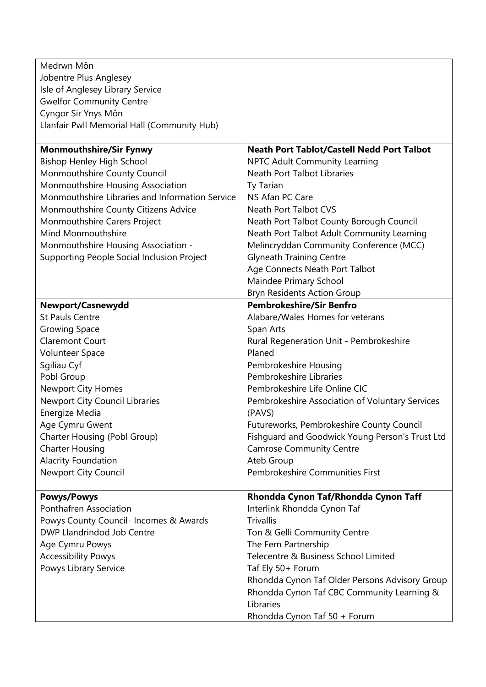| Medrwn Môn                                      |                                                   |
|-------------------------------------------------|---------------------------------------------------|
| Jobentre Plus Anglesey                          |                                                   |
| Isle of Anglesey Library Service                |                                                   |
| <b>Gwelfor Community Centre</b>                 |                                                   |
| Cyngor Sir Ynys Môn                             |                                                   |
| Llanfair Pwll Memorial Hall (Community Hub)     |                                                   |
|                                                 |                                                   |
| <b>Monmouthshire/Sir Fynwy</b>                  | <b>Neath Port Tablot/Castell Nedd Port Talbot</b> |
| <b>Bishop Henley High School</b>                | <b>NPTC Adult Community Learning</b>              |
| Monmouthshire County Council                    | Neath Port Talbot Libraries                       |
| Monmouthshire Housing Association               | Ty Tarian                                         |
| Monmouthshire Libraries and Information Service | NS Afan PC Care                                   |
|                                                 |                                                   |
| Monmouthshire County Citizens Advice            | Neath Port Talbot CVS                             |
| Monmouthshire Carers Project                    | Neath Port Talbot County Borough Council          |
| <b>Mind Monmouthshire</b>                       | Neath Port Talbot Adult Community Learning        |
| Monmouthshire Housing Association -             | Melincryddan Community Conference (MCC)           |
| Supporting People Social Inclusion Project      | <b>Glyneath Training Centre</b>                   |
|                                                 | Age Connects Neath Port Talbot                    |
|                                                 | Maindee Primary School                            |
|                                                 | <b>Bryn Residents Action Group</b>                |
| Newport/Casnewydd                               | <b>Pembrokeshire/Sir Benfro</b>                   |
| <b>St Pauls Centre</b>                          | Alabare/Wales Homes for veterans                  |
| <b>Growing Space</b>                            | Span Arts                                         |
| <b>Claremont Court</b>                          | Rural Regeneration Unit - Pembrokeshire           |
| <b>Volunteer Space</b>                          | Planed                                            |
| Sgiliau Cyf                                     | Pembrokeshire Housing                             |
| Pobl Group                                      | Pembrokeshire Libraries                           |
| <b>Newport City Homes</b>                       | Pembrokeshire Life Online CIC                     |
| Newport City Council Libraries                  | Pembrokeshire Association of Voluntary Services   |
| Energize Media                                  | (PAVS)                                            |
| Age Cymru Gwent                                 | Futureworks, Pembrokeshire County Council         |
| Charter Housing (Pobl Group)                    | Fishguard and Goodwick Young Person's Trust Ltd   |
| <b>Charter Housing</b>                          | <b>Camrose Community Centre</b>                   |
| <b>Alacrity Foundation</b>                      | Ateb Group                                        |
| Newport City Council                            | Pembrokeshire Communities First                   |
|                                                 |                                                   |
| <b>Powys/Powys</b>                              | Rhondda Cynon Taf/Rhondda Cynon Taff              |
| Ponthafren Association                          | Interlink Rhondda Cynon Taf                       |
| Powys County Council- Incomes & Awards          | <b>Trivallis</b>                                  |
| DWP Llandrindod Job Centre                      | Ton & Gelli Community Centre                      |
| Age Cymru Powys                                 | The Fern Partnership                              |
| <b>Accessibility Powys</b>                      | Telecentre & Business School Limited              |
| Powys Library Service                           | Taf Ely 50+ Forum                                 |
|                                                 |                                                   |
|                                                 | Rhondda Cynon Taf Older Persons Advisory Group    |
|                                                 | Rhondda Cynon Taf CBC Community Learning &        |
|                                                 | Libraries                                         |
|                                                 | Rhondda Cynon Taf 50 + Forum                      |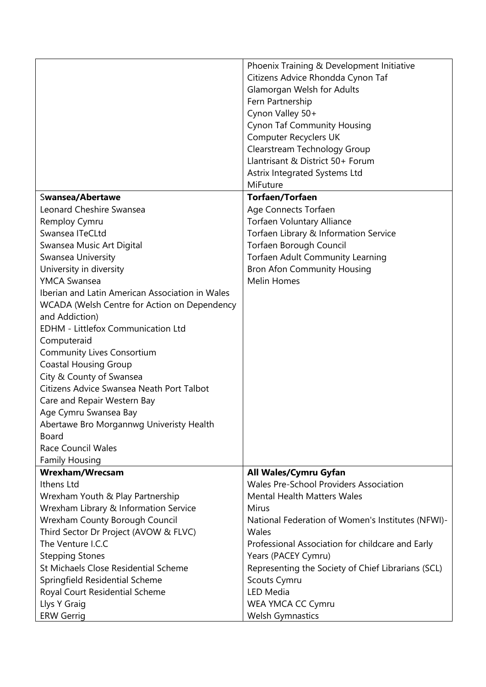|                                                 | Phoenix Training & Development Initiative          |
|-------------------------------------------------|----------------------------------------------------|
|                                                 | Citizens Advice Rhondda Cynon Taf                  |
|                                                 | Glamorgan Welsh for Adults                         |
|                                                 | Fern Partnership                                   |
|                                                 | Cynon Valley 50+                                   |
|                                                 | <b>Cynon Taf Community Housing</b>                 |
|                                                 | Computer Recyclers UK                              |
|                                                 | Clearstream Technology Group                       |
|                                                 | Llantrisant & District 50+ Forum                   |
|                                                 | Astrix Integrated Systems Ltd                      |
|                                                 | MiFuture                                           |
| Swansea/Abertawe                                | <b>Torfaen/Torfaen</b>                             |
| Leonard Cheshire Swansea                        | Age Connects Torfaen                               |
| Remploy Cymru                                   | <b>Torfaen Voluntary Alliance</b>                  |
| Swansea ITeCLtd                                 | Torfaen Library & Information Service              |
| Swansea Music Art Digital                       | Torfaen Borough Council                            |
| Swansea University                              | Torfaen Adult Community Learning                   |
| University in diversity                         | <b>Bron Afon Community Housing</b>                 |
| <b>YMCA Swansea</b>                             | <b>Melin Homes</b>                                 |
| Iberian and Latin American Association in Wales |                                                    |
| WCADA (Welsh Centre for Action on Dependency    |                                                    |
| and Addiction)                                  |                                                    |
| <b>EDHM - Littlefox Communication Ltd</b>       |                                                    |
| Computeraid                                     |                                                    |
| <b>Community Lives Consortium</b>               |                                                    |
| <b>Coastal Housing Group</b>                    |                                                    |
| City & County of Swansea                        |                                                    |
| Citizens Advice Swansea Neath Port Talbot       |                                                    |
| Care and Repair Western Bay                     |                                                    |
| Age Cymru Swansea Bay                           |                                                    |
| Abertawe Bro Morgannwg Univeristy Health        |                                                    |
| Board                                           |                                                    |
| <b>Race Council Wales</b>                       |                                                    |
| <b>Family Housing</b>                           |                                                    |
| Wrexham/Wrecsam                                 | All Wales/Cymru Gyfan                              |
| Ithens Ltd                                      | <b>Wales Pre-School Providers Association</b>      |
| Wrexham Youth & Play Partnership                | <b>Mental Health Matters Wales</b>                 |
| Wrexham Library & Information Service           | <b>Mirus</b>                                       |
| <b>Wrexham County Borough Council</b>           | National Federation of Women's Institutes (NFWI)-  |
| Third Sector Dr Project (AVOW & FLVC)           | Wales                                              |
| The Venture I.C.C                               | Professional Association for childcare and Early   |
| <b>Stepping Stones</b>                          | Years (PACEY Cymru)                                |
| St Michaels Close Residential Scheme            | Representing the Society of Chief Librarians (SCL) |
| Springfield Residential Scheme                  | Scouts Cymru                                       |
| Royal Court Residential Scheme                  | <b>LED Media</b>                                   |
| Llys Y Graig                                    | WEA YMCA CC Cymru                                  |
| <b>ERW Gerrig</b>                               | <b>Welsh Gymnastics</b>                            |